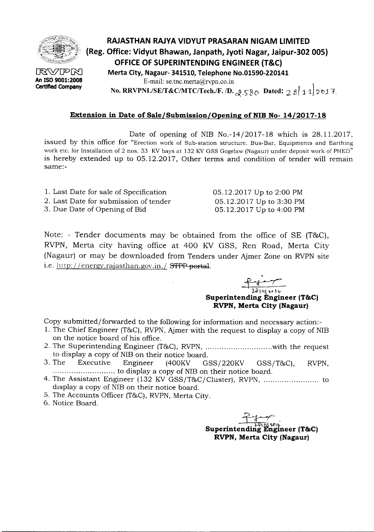

 $\mathbb{R}\mathbb{V}$ PM **An ISO 9001:2008 Certified Company**

## **RAJASTHAN RAJVA VIDVUT PRASARAN NIGAM LIMITED (Reg. Office: Vidyut Bhawan, Janpath, Jyoti Nagar, Jaipur-302 005) OFFICE OF SUPERINTENDING ENGINEER (T&C) Merta City, Nagaur- 341510, Telephone No.01590-220141** E-mail: se.tnc.merta@rvpn.co.in No. RRVPNL/SE/T&C/MTC/Tech./F. /D.  $\beta$ <sub>S80</sub> Dated:  $\gamma$  8 1 1 2017.

## **Extension in Date of Sale/Submission/Opening of NIB No- 14/2017-18**

Date of opening of NIB No.-14/2017-18 which is 28.1l.2017, issued by this office for "Erection work of Sub-station structure, Bus-Bar, Equipments and Earthing work etc. for Installation of 2 nos. 33 KV bays at 132 KV GSS Gogelaw (Nagaur) under deposit work of PHED" is hereby extended up to 05.12.2017, Other terms and condition of tender will remain same:-

- 1. Last Date for sale of Specification
- 2. Last Date for submission of tender
- 3. Due Date of Opening of Bid

Note: - Tender documents may be obtained from the office of SE (T&C), RVPN, Merta city having office at 400 KV GSS, Ren Road, Merta City (Nagaur) or may be downloaded from Tenders under Ajmer Zone on RVPN site i.e. http://energy.rajasthan.gov.in./ STPP-portal.

,  $\frac{\overbrace{P\cdot\overbrace{P\cdot\overbrace{P\cdot\overbrace{P\cdot\overbrace{P\cdot\overbrace{P\cdot\overbrace{P\cdot\overbrace{P\cdot\overbrace{P\cdot\overbrace{P\cdot\overbrace{P\cdot\overbrace{P\cdot\overbrace{P\cdot\overbrace{P\cdot\overbrace{P\cdot\overbrace{P\cdot\overbrace{P\cdot\overbrace{P\cdot\overbrace{P\cdot\overbrace{P\cdot\overbrace{P\cdot\overbrace{P\cdot\overbrace{P\cdot\overbrace{P\cdot\overbrace{P\cdot\overbrace{P\cdot\overbrace{P\cdot\overbrace{P\cdot\overbrace{P\cdot\overbrace{P\cdot\overbrace{P\cdot\$ ~Il\\"""\'\.- **Superintending Engineer (T&C) RVPN, Merta City (Nagaur)**

05.12.2017 Up to 2:00 PM 05.12.2017 Up to 3:30 PM 05.12.2017 Up to 4:00 PM

Copy submitted/forwarded to the following for information and necessary action:-

- 1. The Chief Engineer (T&C), RVPN, Ajmer with the request to display a copy of NIB on the notice board of his office.
- 2. The Superintending Engineer (T&C), RVPN, ...................................with the request to display a copy of NIB on their notice board.<br>3. The Executive Engineer (400KV G)
- $(400KV$  GSS/220KV GSS/T&C), RVPN, ........................... to display a copy of NIBon their notice board.
- 4. The Assistant Engineer (132 KV GSS/T&C/Cluster), RVPN, to display a copy of NIB on their notice board.
- 5. The Accounts Officer (T&C), RVPN, Merta City.
- 6. Notice Board.

~~ **Superintending Englneer (T&C) RVPN, Merta City (Nagaur)**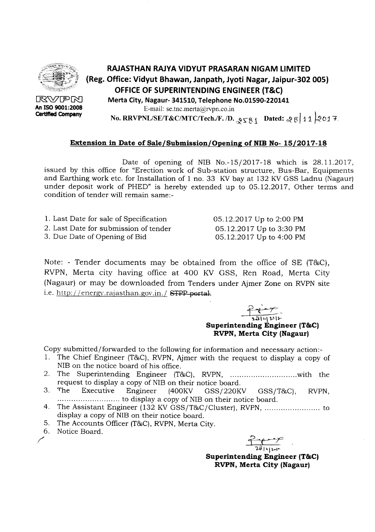

**RAJASTHAN RAJYA VIDYUT PRASARAN NIGAM LIMITED (Reg. Office: Vidyut Bhawan, Janpath, Jyoti Nagar, Jaipur-302 005) OFFICE OF SUPERINTENDING ENGINEER (T&C) Merta City, Nagaur- 341510, Telephone No.01590-220141**

E-mail: se.tnc.merta@rvpn.co.in .

**No. RRVPNL/SE/T&C/MTC/Tech./F. /D.**  $_{\mathcal{S}}$   $_{\zeta}$   $_{\mathcal{S}}$  {  $_{\zeta}$  dated:  $_{\mathcal{S}}$   $_{\mathcal{S}}$  | 11  $_{\mathcal{Q}}$  017.

## **Extension in Date of Sale/Submission/Opening of NIB No- 15/2017-18**

Date of opening of NIB No.-15/2017-18 which is 28.11.2017, issued by this office for "Erection work of Sub-station structure, Bus-Bar, Equipments and Earthing work etc. for Installation of 1 no. 33 KV bay at 132 KV GSS Ladnu (Nagaur) under deposit work of PHED" is hereby extended up to 05.12.2017, Other terms and condition of tender will remain same:-

| 1. Last Date for sale of Specification | 05.12.2017 Up to 2:00 PM |
|----------------------------------------|--------------------------|
| 2. Last Date for submission of tender  | 05.12.2017 Up to 3:30 PM |
| 3. Due Date of Opening of Bid          | 05.12.2017 Up to 4:00 PM |

Note: - Tender documents may be obtained from the office of SE (T&C), RVPN, Merta city having office at 400 KV GSS, Ren Road, Merta City (Nagaur) or may be downloaded from Tenders under Ajmer Zone on RVPN site i.e. http://energy.rajasthan.gov.in./ **STPP portal.** 

> $\frac{1}{23|u|v|}$ **Superintending Engineer (T&C) RVPN, Merta City (Nagaur)**

Copy submitted/forwarded to the following for information and necessary action:-

- 1. The Chief Engineer (T&C), RVPN, Ajmer with the request to display a copy of NIB on the notice board of his office.
- 2. The Superintending Engineer (T&C), RVPN, with the request to display a copy of NIB on their notice board.<br>3. The Executive Engineer (400KV GSS/220K
- Executive Engineer (400KV GSS/220KV GSS/T&C), RVPN, ........................... to display a copy of NIBon their notice board.
- 4. The Assistant Engineer (132 KVGSS/T&C/Cluster), RVPN, to display a copy of NIB on their notice board.
- 5. The Accounts Officer (T&C), RVPN, Merta City.
- 6. Notice Board.  $\overline{a}$  b. Notice Board.

 $\frac{1}{20}$ 

**Superintending Engineer (T&C) RVPN, Merta City (Nagaur)**

**RWFR An ISO 9001:2008 CertIfted Company**